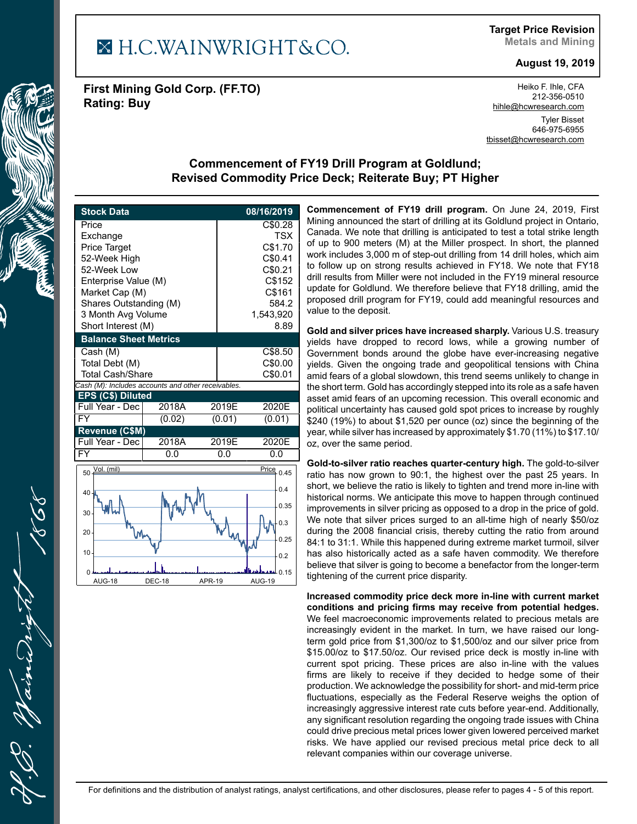## X H.C.WAINWRIGHT&CO.

**First Mining Gold Corp. (FF.TO) Rating: Buy**

Heiko F. Ihle, CFA 212-356-0510 hihle@hcwresearch.com Tyler Bisset 646-975-6955 tbisset@hcwresearch.com

## **Commencement of FY19 Drill Program at Goldlund; Revised Commodity Price Deck; Reiterate Buy; PT Higher**

| <b>Stock Data</b>                                  |               |                    | 08/16/2019                     |  |  |  |  |  |
|----------------------------------------------------|---------------|--------------------|--------------------------------|--|--|--|--|--|
| Price                                              |               |                    | C\$0.28                        |  |  |  |  |  |
| Exchange                                           |               | <b>TSX</b>         |                                |  |  |  |  |  |
| <b>Price Target</b>                                |               | C\$1.70            |                                |  |  |  |  |  |
| 52-Week High                                       |               | C\$0.41            |                                |  |  |  |  |  |
| 52-Week Low                                        |               |                    | C\$0.21                        |  |  |  |  |  |
| Enterprise Value (M)                               |               | C\$152             |                                |  |  |  |  |  |
| Market Cap (M)                                     |               |                    | C\$161                         |  |  |  |  |  |
| Shares Outstanding (M)<br>3 Month Avg Volume       |               | 584.2<br>1,543,920 |                                |  |  |  |  |  |
| Short Interest (M)                                 |               | 8.89               |                                |  |  |  |  |  |
| <b>Balance Sheet Metrics</b>                       |               |                    |                                |  |  |  |  |  |
| Cash (M)                                           |               |                    | C\$8.50                        |  |  |  |  |  |
| Total Debt (M)                                     |               |                    | C\$0.00                        |  |  |  |  |  |
| <b>Total Cash/Share</b>                            |               | C\$0.01            |                                |  |  |  |  |  |
| Cash (M): Includes accounts and other receivables. |               |                    |                                |  |  |  |  |  |
| EPS (C\$) Diluted                                  |               |                    |                                |  |  |  |  |  |
| Full Year - Dec                                    | 2018A         | 2019E              | 2020E                          |  |  |  |  |  |
| $\overline{\mathsf{FY}}$                           | (0.02)        | (0.01)             | (0.01)                         |  |  |  |  |  |
| Revenue (C\$M)                                     |               |                    |                                |  |  |  |  |  |
| Full Year - Dec                                    | 2018A         | 2019E              | 2020E                          |  |  |  |  |  |
| <b>FY</b>                                          | 0.0           | 0.0                | 0.0                            |  |  |  |  |  |
| Vol. (mil)<br>$50 -$                               |               |                    | $\overline{\text{Price}}$ 0.45 |  |  |  |  |  |
|                                                    |               |                    |                                |  |  |  |  |  |
| 40                                                 |               |                    | 0.4                            |  |  |  |  |  |
| 30                                                 |               |                    | 0.35                           |  |  |  |  |  |
|                                                    |               |                    | 0.3                            |  |  |  |  |  |
| 20                                                 |               |                    |                                |  |  |  |  |  |
|                                                    |               |                    | 0.25                           |  |  |  |  |  |
| 10                                                 |               |                    | 0.2                            |  |  |  |  |  |
|                                                    |               |                    | <b>M</b> 0.15                  |  |  |  |  |  |
| <b>AUG-18</b>                                      | <b>DEC-18</b> | <b>APR-19</b>      | <b>AUG-19</b>                  |  |  |  |  |  |

**Commencement of FY19 drill program.** On June 24, 2019, First Mining announced the start of drilling at its Goldlund project in Ontario, Canada. We note that drilling is anticipated to test a total strike length of up to 900 meters (M) at the Miller prospect. In short, the planned work includes 3,000 m of step-out drilling from 14 drill holes, which aim to follow up on strong results achieved in FY18. We note that FY18 drill results from Miller were not included in the FY19 mineral resource update for Goldlund. We therefore believe that FY18 drilling, amid the proposed drill program for FY19, could add meaningful resources and value to the deposit.

**Gold and silver prices have increased sharply.** Various U.S. treasury yields have dropped to record lows, while a growing number of Government bonds around the globe have ever-increasing negative yields. Given the ongoing trade and geopolitical tensions with China amid fears of a global slowdown, this trend seems unlikely to change in the short term. Gold has accordingly stepped into its role as a safe haven asset amid fears of an upcoming recession. This overall economic and political uncertainty has caused gold spot prices to increase by roughly \$240 (19%) to about \$1,520 per ounce (oz) since the beginning of the year, while silver has increased by approximately \$1.70 (11%) to \$17.10/ oz, over the same period.

**Gold-to-silver ratio reaches quarter-century high.** The gold-to-silver ratio has now grown to 90:1, the highest over the past 25 years. In short, we believe the ratio is likely to tighten and trend more in-line with historical norms. We anticipate this move to happen through continued improvements in silver pricing as opposed to a drop in the price of gold. We note that silver prices surged to an all-time high of nearly \$50/oz during the 2008 financial crisis, thereby cutting the ratio from around 84:1 to 31:1. While this happened during extreme market turmoil, silver has also historically acted as a safe haven commodity. We therefore believe that silver is going to become a benefactor from the longer-term tightening of the current price disparity.

**Increased commodity price deck more in-line with current market conditions and pricing firms may receive from potential hedges.** We feel macroeconomic improvements related to precious metals are increasingly evident in the market. In turn, we have raised our longterm gold price from \$1,300/oz to \$1,500/oz and our silver price from \$15.00/oz to \$17.50/oz. Our revised price deck is mostly in-line with current spot pricing. These prices are also in-line with the values firms are likely to receive if they decided to hedge some of their production. We acknowledge the possibility for short- and mid-term price fluctuations, especially as the Federal Reserve weighs the option of increasingly aggressive interest rate cuts before year-end. Additionally, any significant resolution regarding the ongoing trade issues with China could drive precious metal prices lower given lowered perceived market risks. We have applied our revised precious metal price deck to all relevant companies within our coverage universe.

aine

**Target Price Revision Metals and Mining**

**August 19, 2019**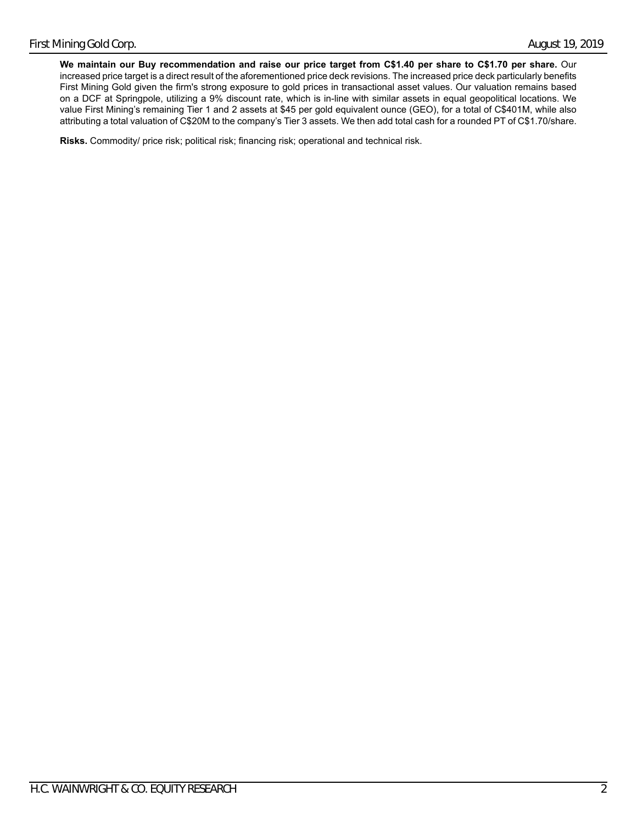**We maintain our Buy recommendation and raise our price target from C\$1.40 per share to C\$1.70 per share.** Our increased price target is a direct result of the aforementioned price deck revisions. The increased price deck particularly benefits First Mining Gold given the firm's strong exposure to gold prices in transactional asset values. Our valuation remains based on a DCF at Springpole, utilizing a 9% discount rate, which is in-line with similar assets in equal geopolitical locations. We value First Mining's remaining Tier 1 and 2 assets at \$45 per gold equivalent ounce (GEO), for a total of C\$401M, while also attributing a total valuation of C\$20M to the company's Tier 3 assets. We then add total cash for a rounded PT of C\$1.70/share.

**Risks.** Commodity/ price risk; political risk; financing risk; operational and technical risk.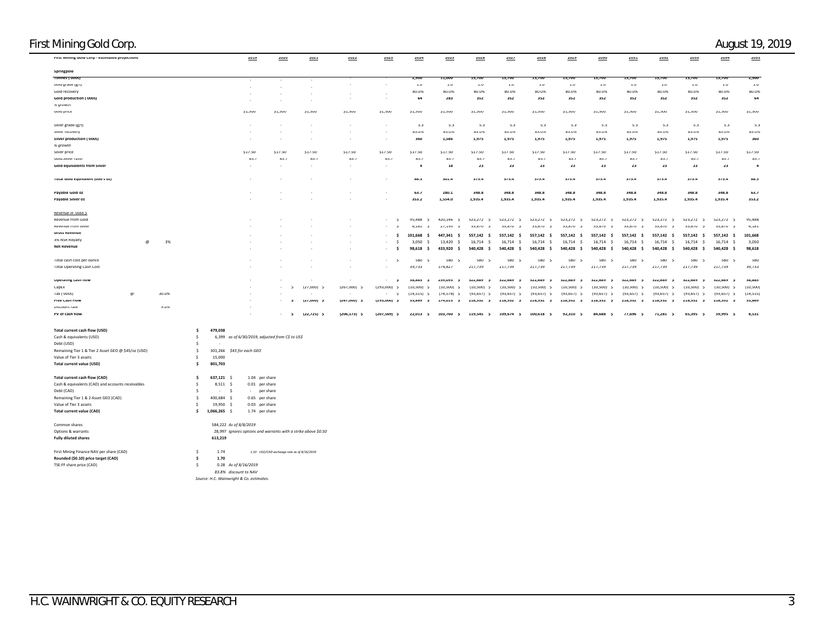|                          |                                                                                                                                                                                                                                                                                                                                                          |                                                                                                                                                                        |                                                                                                                                                                                                                                                                                                   |                                                                                                                   |                                                                                                                                                                             |                                                                                                                                       |                                                                                                                                                                             |                                                                                                                                             |                                                                                                                                                                                |                                                                                                                                                                                                                                        |                                                                                                                                                                                    |                                                                                                                                                                                                |                                                                                                                                                                          |                                                                                                                                                                                                                     |                                                                                                                                                      | 2035                                                                                                                                                                         |
|--------------------------|----------------------------------------------------------------------------------------------------------------------------------------------------------------------------------------------------------------------------------------------------------------------------------------------------------------------------------------------------------|------------------------------------------------------------------------------------------------------------------------------------------------------------------------|---------------------------------------------------------------------------------------------------------------------------------------------------------------------------------------------------------------------------------------------------------------------------------------------------|-------------------------------------------------------------------------------------------------------------------|-----------------------------------------------------------------------------------------------------------------------------------------------------------------------------|---------------------------------------------------------------------------------------------------------------------------------------|-----------------------------------------------------------------------------------------------------------------------------------------------------------------------------|---------------------------------------------------------------------------------------------------------------------------------------------|--------------------------------------------------------------------------------------------------------------------------------------------------------------------------------|----------------------------------------------------------------------------------------------------------------------------------------------------------------------------------------------------------------------------------------|------------------------------------------------------------------------------------------------------------------------------------------------------------------------------------|------------------------------------------------------------------------------------------------------------------------------------------------------------------------------------------------|--------------------------------------------------------------------------------------------------------------------------------------------------------------------------|---------------------------------------------------------------------------------------------------------------------------------------------------------------------------------------------------------------------|------------------------------------------------------------------------------------------------------------------------------------------------------|------------------------------------------------------------------------------------------------------------------------------------------------------------------------------|
|                          |                                                                                                                                                                                                                                                                                                                                                          |                                                                                                                                                                        |                                                                                                                                                                                                                                                                                                   |                                                                                                                   |                                                                                                                                                                             |                                                                                                                                       |                                                                                                                                                                             |                                                                                                                                             |                                                                                                                                                                                |                                                                                                                                                                                                                                        |                                                                                                                                                                                    |                                                                                                                                                                                                |                                                                                                                                                                          |                                                                                                                                                                                                                     |                                                                                                                                                      | 2.500                                                                                                                                                                        |
|                          |                                                                                                                                                                                                                                                                                                                                                          |                                                                                                                                                                        |                                                                                                                                                                                                                                                                                                   |                                                                                                                   |                                                                                                                                                                             |                                                                                                                                       |                                                                                                                                                                             |                                                                                                                                             |                                                                                                                                                                                |                                                                                                                                                                                                                                        |                                                                                                                                                                                    |                                                                                                                                                                                                |                                                                                                                                                                          |                                                                                                                                                                                                                     |                                                                                                                                                      | $1.0\,$                                                                                                                                                                      |
|                          |                                                                                                                                                                                                                                                                                                                                                          | $\sim$                                                                                                                                                                 |                                                                                                                                                                                                                                                                                                   |                                                                                                                   |                                                                                                                                                                             |                                                                                                                                       |                                                                                                                                                                             |                                                                                                                                             |                                                                                                                                                                                |                                                                                                                                                                                                                                        |                                                                                                                                                                                    |                                                                                                                                                                                                |                                                                                                                                                                          |                                                                                                                                                                                                                     |                                                                                                                                                      | 8U.U%                                                                                                                                                                        |
|                          |                                                                                                                                                                                                                                                                                                                                                          |                                                                                                                                                                        |                                                                                                                                                                                                                                                                                                   |                                                                                                                   |                                                                                                                                                                             |                                                                                                                                       |                                                                                                                                                                             |                                                                                                                                             |                                                                                                                                                                                |                                                                                                                                                                                                                                        |                                                                                                                                                                                    |                                                                                                                                                                                                |                                                                                                                                                                          |                                                                                                                                                                                                                     |                                                                                                                                                      | 64                                                                                                                                                                           |
|                          |                                                                                                                                                                                                                                                                                                                                                          |                                                                                                                                                                        |                                                                                                                                                                                                                                                                                                   |                                                                                                                   |                                                                                                                                                                             |                                                                                                                                       |                                                                                                                                                                             |                                                                                                                                             |                                                                                                                                                                                |                                                                                                                                                                                                                                        |                                                                                                                                                                                    |                                                                                                                                                                                                |                                                                                                                                                                          |                                                                                                                                                                                                                     |                                                                                                                                                      |                                                                                                                                                                              |
|                          |                                                                                                                                                                                                                                                                                                                                                          |                                                                                                                                                                        |                                                                                                                                                                                                                                                                                                   |                                                                                                                   |                                                                                                                                                                             |                                                                                                                                       |                                                                                                                                                                             |                                                                                                                                             |                                                                                                                                                                                |                                                                                                                                                                                                                                        |                                                                                                                                                                                    |                                                                                                                                                                                                |                                                                                                                                                                          |                                                                                                                                                                                                                     |                                                                                                                                                      | \$1,500                                                                                                                                                                      |
|                          |                                                                                                                                                                                                                                                                                                                                                          |                                                                                                                                                                        |                                                                                                                                                                                                                                                                                                   |                                                                                                                   |                                                                                                                                                                             |                                                                                                                                       |                                                                                                                                                                             |                                                                                                                                             |                                                                                                                                                                                |                                                                                                                                                                                                                                        |                                                                                                                                                                                    |                                                                                                                                                                                                |                                                                                                                                                                          |                                                                                                                                                                                                                     |                                                                                                                                                      |                                                                                                                                                                              |
| $\sim$                   | $\sim$                                                                                                                                                                                                                                                                                                                                                   | $\sim$                                                                                                                                                                 | $\sim$                                                                                                                                                                                                                                                                                            | $\sim$                                                                                                            | 5.3                                                                                                                                                                         | 5.3                                                                                                                                   | 5.3                                                                                                                                                                         | 5.3                                                                                                                                         | 5.3                                                                                                                                                                            | 5.3                                                                                                                                                                                                                                    | 5.3                                                                                                                                                                                | 5.3                                                                                                                                                                                            | 5.3                                                                                                                                                                      | 5.3                                                                                                                                                                                                                 | 5.3                                                                                                                                                  | 5.3                                                                                                                                                                          |
|                          |                                                                                                                                                                                                                                                                                                                                                          |                                                                                                                                                                        |                                                                                                                                                                                                                                                                                                   |                                                                                                                   |                                                                                                                                                                             |                                                                                                                                       |                                                                                                                                                                             |                                                                                                                                             |                                                                                                                                                                                |                                                                                                                                                                                                                                        |                                                                                                                                                                                    |                                                                                                                                                                                                |                                                                                                                                                                          |                                                                                                                                                                                                                     |                                                                                                                                                      | 85.U%                                                                                                                                                                        |
|                          |                                                                                                                                                                                                                                                                                                                                                          |                                                                                                                                                                        |                                                                                                                                                                                                                                                                                                   |                                                                                                                   |                                                                                                                                                                             |                                                                                                                                       |                                                                                                                                                                             |                                                                                                                                             |                                                                                                                                                                                |                                                                                                                                                                                                                                        |                                                                                                                                                                                    |                                                                                                                                                                                                |                                                                                                                                                                          |                                                                                                                                                                                                                     |                                                                                                                                                      | 360                                                                                                                                                                          |
|                          |                                                                                                                                                                                                                                                                                                                                                          |                                                                                                                                                                        |                                                                                                                                                                                                                                                                                                   |                                                                                                                   |                                                                                                                                                                             |                                                                                                                                       |                                                                                                                                                                             |                                                                                                                                             |                                                                                                                                                                                |                                                                                                                                                                                                                                        |                                                                                                                                                                                    |                                                                                                                                                                                                |                                                                                                                                                                          |                                                                                                                                                                                                                     |                                                                                                                                                      |                                                                                                                                                                              |
|                          |                                                                                                                                                                                                                                                                                                                                                          |                                                                                                                                                                        |                                                                                                                                                                                                                                                                                                   |                                                                                                                   |                                                                                                                                                                             |                                                                                                                                       |                                                                                                                                                                             |                                                                                                                                             |                                                                                                                                                                                |                                                                                                                                                                                                                                        |                                                                                                                                                                                    |                                                                                                                                                                                                |                                                                                                                                                                          |                                                                                                                                                                                                                     |                                                                                                                                                      | \$17.50                                                                                                                                                                      |
|                          |                                                                                                                                                                                                                                                                                                                                                          |                                                                                                                                                                        |                                                                                                                                                                                                                                                                                                   |                                                                                                                   |                                                                                                                                                                             |                                                                                                                                       |                                                                                                                                                                             |                                                                                                                                             |                                                                                                                                                                                |                                                                                                                                                                                                                                        |                                                                                                                                                                                    |                                                                                                                                                                                                |                                                                                                                                                                          |                                                                                                                                                                                                                     |                                                                                                                                                      | 85.1                                                                                                                                                                         |
|                          |                                                                                                                                                                                                                                                                                                                                                          |                                                                                                                                                                        |                                                                                                                                                                                                                                                                                                   |                                                                                                                   |                                                                                                                                                                             |                                                                                                                                       |                                                                                                                                                                             |                                                                                                                                             |                                                                                                                                                                                |                                                                                                                                                                                                                                        |                                                                                                                                                                                    |                                                                                                                                                                                                |                                                                                                                                                                          |                                                                                                                                                                                                                     |                                                                                                                                                      | $\rightarrow$                                                                                                                                                                |
|                          |                                                                                                                                                                                                                                                                                                                                                          | $\cdot$                                                                                                                                                                | $\overline{\phantom{a}}$                                                                                                                                                                                                                                                                          | $\sim$                                                                                                            | 68.5                                                                                                                                                                        | 301.4                                                                                                                                 | 375.4                                                                                                                                                                       | 375.4                                                                                                                                       | 375.4                                                                                                                                                                          | 375.4                                                                                                                                                                                                                                  | 375.4                                                                                                                                                                              | 375.4                                                                                                                                                                                          | 375.4                                                                                                                                                                    | 375.4                                                                                                                                                                                                               | 375.4                                                                                                                                                | 68.5                                                                                                                                                                         |
| $\overline{\phantom{a}}$ | $\sim$                                                                                                                                                                                                                                                                                                                                                   | $\sim$                                                                                                                                                                 | $\sim$                                                                                                                                                                                                                                                                                            | $\sim$                                                                                                            |                                                                                                                                                                             |                                                                                                                                       |                                                                                                                                                                             |                                                                                                                                             |                                                                                                                                                                                |                                                                                                                                                                                                                                        |                                                                                                                                                                                    |                                                                                                                                                                                                |                                                                                                                                                                          |                                                                                                                                                                                                                     |                                                                                                                                                      | 03.1                                                                                                                                                                         |
|                          |                                                                                                                                                                                                                                                                                                                                                          |                                                                                                                                                                        | $\sim$                                                                                                                                                                                                                                                                                            | $\sim$                                                                                                            | 353.2                                                                                                                                                                       | 1,554.0                                                                                                                               | 1,935.4                                                                                                                                                                     | 1.935.4                                                                                                                                     | 1.935.4                                                                                                                                                                        | 1.935.4                                                                                                                                                                                                                                | 1,935.4                                                                                                                                                                            | 1.935.4                                                                                                                                                                                        | 1.935.4                                                                                                                                                                  | 1.935.4                                                                                                                                                                                                             | 1,935.4                                                                                                                                              | 353.2                                                                                                                                                                        |
|                          |                                                                                                                                                                                                                                                                                                                                                          |                                                                                                                                                                        |                                                                                                                                                                                                                                                                                                   |                                                                                                                   |                                                                                                                                                                             |                                                                                                                                       |                                                                                                                                                                             |                                                                                                                                             |                                                                                                                                                                                |                                                                                                                                                                                                                                        |                                                                                                                                                                                    |                                                                                                                                                                                                |                                                                                                                                                                          |                                                                                                                                                                                                                     |                                                                                                                                                      |                                                                                                                                                                              |
|                          |                                                                                                                                                                                                                                                                                                                                                          |                                                                                                                                                                        |                                                                                                                                                                                                                                                                                                   |                                                                                                                   |                                                                                                                                                                             |                                                                                                                                       |                                                                                                                                                                             |                                                                                                                                             |                                                                                                                                                                                |                                                                                                                                                                                                                                        |                                                                                                                                                                                    |                                                                                                                                                                                                |                                                                                                                                                                          |                                                                                                                                                                                                                     |                                                                                                                                                      |                                                                                                                                                                              |
|                          |                                                                                                                                                                                                                                                                                                                                                          |                                                                                                                                                                        |                                                                                                                                                                                                                                                                                                   | $\sim$<br>$\sim$                                                                                                  | 95,488 \$                                                                                                                                                                   | 420,146 S                                                                                                                             |                                                                                                                                                                             |                                                                                                                                             |                                                                                                                                                                                |                                                                                                                                                                                                                                        |                                                                                                                                                                                    |                                                                                                                                                                                                |                                                                                                                                                                          |                                                                                                                                                                                                                     | $523,272$ $5$                                                                                                                                        | 95.488                                                                                                                                                                       |
|                          |                                                                                                                                                                                                                                                                                                                                                          |                                                                                                                                                                        |                                                                                                                                                                                                                                                                                                   |                                                                                                                   | b,181<br>$\rightarrow$                                                                                                                                                      | $27,195$ \$                                                                                                                           | 33,870 \$                                                                                                                                                                   | 33,8/U<br>$\rightarrow$                                                                                                                     | 33,870 \$                                                                                                                                                                      | 33,870 \$                                                                                                                                                                                                                              | 33,870 \$                                                                                                                                                                          | 33,870 \$                                                                                                                                                                                      | 33,870 \$                                                                                                                                                                | $\overline{\phantom{a}}$                                                                                                                                                                                            | 33,870<br>$\overline{ }$                                                                                                                             | 6,181                                                                                                                                                                        |
|                          |                                                                                                                                                                                                                                                                                                                                                          |                                                                                                                                                                        |                                                                                                                                                                                                                                                                                                   | $\mathbf{s}$<br>$\sim$                                                                                            | 101,668 \$                                                                                                                                                                  | 447,341 \$                                                                                                                            |                                                                                                                                                                             |                                                                                                                                             |                                                                                                                                                                                |                                                                                                                                                                                                                                        |                                                                                                                                                                                    |                                                                                                                                                                                                |                                                                                                                                                                          |                                                                                                                                                                                                                     | 557,142 \$                                                                                                                                           | 101,668                                                                                                                                                                      |
|                          |                                                                                                                                                                                                                                                                                                                                                          |                                                                                                                                                                        | $\sim$                                                                                                                                                                                                                                                                                            | $\sim$                                                                                                            | $3,050$ \$                                                                                                                                                                  | 13,420 \$                                                                                                                             | 16,714 \$                                                                                                                                                                   | 16,714 \$                                                                                                                                   | 16,714 \$                                                                                                                                                                      | 16,714 \$                                                                                                                                                                                                                              | 16,714 \$                                                                                                                                                                          | 16,714 \$                                                                                                                                                                                      | 16,714 \$                                                                                                                                                                | 16,714 \$                                                                                                                                                                                                           | 16,714 \$                                                                                                                                            | 3,050                                                                                                                                                                        |
|                          |                                                                                                                                                                                                                                                                                                                                                          |                                                                                                                                                                        | $\sim$                                                                                                                                                                                                                                                                                            | $\sim$<br>- s                                                                                                     | 98,618 \$                                                                                                                                                                   | 433,920 \$                                                                                                                            | 540,428 \$                                                                                                                                                                  |                                                                                                                                             |                                                                                                                                                                                |                                                                                                                                                                                                                                        |                                                                                                                                                                                    |                                                                                                                                                                                                |                                                                                                                                                                          |                                                                                                                                                                                                                     | 540,428 \$                                                                                                                                           | 98,618                                                                                                                                                                       |
|                          |                                                                                                                                                                                                                                                                                                                                                          |                                                                                                                                                                        |                                                                                                                                                                                                                                                                                                   |                                                                                                                   |                                                                                                                                                                             |                                                                                                                                       |                                                                                                                                                                             |                                                                                                                                             |                                                                                                                                                                                |                                                                                                                                                                                                                                        |                                                                                                                                                                                    |                                                                                                                                                                                                |                                                                                                                                                                          |                                                                                                                                                                                                                     |                                                                                                                                                      | <b>JöU</b>                                                                                                                                                                   |
|                          |                                                                                                                                                                                                                                                                                                                                                          |                                                                                                                                                                        |                                                                                                                                                                                                                                                                                                   |                                                                                                                   |                                                                                                                                                                             |                                                                                                                                       |                                                                                                                                                                             |                                                                                                                                             |                                                                                                                                                                                |                                                                                                                                                                                                                                        |                                                                                                                                                                                    |                                                                                                                                                                                                |                                                                                                                                                                          |                                                                                                                                                                                                                     |                                                                                                                                                      | 39,135                                                                                                                                                                       |
|                          |                                                                                                                                                                                                                                                                                                                                                          |                                                                                                                                                                        |                                                                                                                                                                                                                                                                                                   |                                                                                                                   |                                                                                                                                                                             |                                                                                                                                       |                                                                                                                                                                             |                                                                                                                                             |                                                                                                                                                                                |                                                                                                                                                                                                                                        |                                                                                                                                                                                    |                                                                                                                                                                                                |                                                                                                                                                                          |                                                                                                                                                                                                                     |                                                                                                                                                      |                                                                                                                                                                              |
|                          |                                                                                                                                                                                                                                                                                                                                                          |                                                                                                                                                                        | $\sim$                                                                                                                                                                                                                                                                                            |                                                                                                                   | 58.885 5                                                                                                                                                                    | 259.093 \$                                                                                                                            | 322.689 S                                                                                                                                                                   | 322.689 S                                                                                                                                   | 322.689 S                                                                                                                                                                      | 322.689 S                                                                                                                                                                                                                              | 322.689 S                                                                                                                                                                          | 322.689 S                                                                                                                                                                                      | 322.689 S                                                                                                                                                                | 322.689 S                                                                                                                                                                                                           | 322.689 S                                                                                                                                            | 58.885                                                                                                                                                                       |
|                          |                                                                                                                                                                                                                                                                                                                                                          | $(27,000)$ >                                                                                                                                                           | $(207,000)$ >                                                                                                                                                                                                                                                                                     |                                                                                                                   | $(10,500)$ $\geq$                                                                                                                                                           | (10,500)                                                                                                                              | $(10,500)$ >                                                                                                                                                                | (10,500)<br>$\rightarrow$                                                                                                                   | (10,500)<br>$\Rightarrow$                                                                                                                                                      | $(10,500)$ >                                                                                                                                                                                                                           | $(10,500)$ >                                                                                                                                                                       | 10,500<br>$\overline{ }$                                                                                                                                                                       | $(10,500)$ >                                                                                                                                                             | (10,500)<br>$\rightarrow$                                                                                                                                                                                           | $(10,500)$ $\Rightarrow$                                                                                                                             | (10,500)                                                                                                                                                                     |
|                          |                                                                                                                                                                                                                                                                                                                                                          |                                                                                                                                                                        |                                                                                                                                                                                                                                                                                                   |                                                                                                                   | $(14.515)$ S                                                                                                                                                                | $(14.5/8)$ 5                                                                                                                          | (93.65/15)                                                                                                                                                                  | (93.657) 5                                                                                                                                  | (93.65/1)                                                                                                                                                                      | (93.65/1)                                                                                                                                                                                                                              | (93.65/15)                                                                                                                                                                         | (93.65/1)                                                                                                                                                                                      | (93.65/1)                                                                                                                                                                | (93.65/15)                                                                                                                                                                                                          | (93.65/1S)                                                                                                                                           | (14,515)                                                                                                                                                                     |
|                          | $\sim$                                                                                                                                                                                                                                                                                                                                                   | $(27,000)$ \$                                                                                                                                                          | $(2b7,000)$ \$                                                                                                                                                                                                                                                                                    |                                                                                                                   | 33,869 \$                                                                                                                                                                   | 174,015<br>$\overline{\phantom{a}}$                                                                                                   | 218,532 \$                                                                                                                                                                  | 218,532 \$                                                                                                                                  | 218,532 \$                                                                                                                                                                     | 218,532 \$                                                                                                                                                                                                                             | 218,532 \$                                                                                                                                                                         | 218,532 \$                                                                                                                                                                                     | 218,532 \$                                                                                                                                                               | 218,532 \$                                                                                                                                                                                                          | 218,532 \$                                                                                                                                           | 33,869                                                                                                                                                                       |
|                          |                                                                                                                                                                                                                                                                                                                                                          |                                                                                                                                                                        |                                                                                                                                                                                                                                                                                                   |                                                                                                                   |                                                                                                                                                                             |                                                                                                                                       |                                                                                                                                                                             |                                                                                                                                             |                                                                                                                                                                                |                                                                                                                                                                                                                                        |                                                                                                                                                                                    |                                                                                                                                                                                                |                                                                                                                                                                          |                                                                                                                                                                                                                     |                                                                                                                                                      |                                                                                                                                                                              |
|                          |                                                                                                                                                                                                                                                                                                                                                          | $[22, 125]$ >                                                                                                                                                          | $[20b, 1/3]$ >                                                                                                                                                                                                                                                                                    |                                                                                                                   |                                                                                                                                                                             |                                                                                                                                       |                                                                                                                                                                             |                                                                                                                                             | 100,618 >                                                                                                                                                                      | 54,510 5                                                                                                                                                                                                                               | 84,688 >                                                                                                                                                                           | 11,0302                                                                                                                                                                                        | $1,281$ >                                                                                                                                                                | כ כפצ.כס                                                                                                                                                                                                            | כ כציביב                                                                                                                                             | 8,531                                                                                                                                                                        |
| 479,038<br>s.            |                                                                                                                                                                                                                                                                                                                                                          |                                                                                                                                                                        |                                                                                                                                                                                                                                                                                                   |                                                                                                                   |                                                                                                                                                                             |                                                                                                                                       |                                                                                                                                                                             |                                                                                                                                             |                                                                                                                                                                                |                                                                                                                                                                                                                                        |                                                                                                                                                                                    |                                                                                                                                                                                                |                                                                                                                                                                          |                                                                                                                                                                                                                     |                                                                                                                                                      |                                                                                                                                                                              |
| -S                       |                                                                                                                                                                                                                                                                                                                                                          |                                                                                                                                                                        |                                                                                                                                                                                                                                                                                                   |                                                                                                                   |                                                                                                                                                                             |                                                                                                                                       |                                                                                                                                                                             |                                                                                                                                             |                                                                                                                                                                                |                                                                                                                                                                                                                                        |                                                                                                                                                                                    |                                                                                                                                                                                                |                                                                                                                                                                          |                                                                                                                                                                                                                     |                                                                                                                                                      |                                                                                                                                                                              |
|                          |                                                                                                                                                                                                                                                                                                                                                          |                                                                                                                                                                        |                                                                                                                                                                                                                                                                                                   |                                                                                                                   |                                                                                                                                                                             |                                                                                                                                       |                                                                                                                                                                             |                                                                                                                                             |                                                                                                                                                                                |                                                                                                                                                                                                                                        |                                                                                                                                                                                    |                                                                                                                                                                                                |                                                                                                                                                                          |                                                                                                                                                                                                                     |                                                                                                                                                      |                                                                                                                                                                              |
|                          |                                                                                                                                                                                                                                                                                                                                                          |                                                                                                                                                                        |                                                                                                                                                                                                                                                                                                   |                                                                                                                   |                                                                                                                                                                             |                                                                                                                                       |                                                                                                                                                                             |                                                                                                                                             |                                                                                                                                                                                |                                                                                                                                                                                                                                        |                                                                                                                                                                                    |                                                                                                                                                                                                |                                                                                                                                                                          |                                                                                                                                                                                                                     |                                                                                                                                                      |                                                                                                                                                                              |
| 801,703<br>Š.            |                                                                                                                                                                                                                                                                                                                                                          |                                                                                                                                                                        |                                                                                                                                                                                                                                                                                                   |                                                                                                                   |                                                                                                                                                                             |                                                                                                                                       |                                                                                                                                                                             |                                                                                                                                             |                                                                                                                                                                                |                                                                                                                                                                                                                                        |                                                                                                                                                                                    |                                                                                                                                                                                                |                                                                                                                                                                          |                                                                                                                                                                                                                     |                                                                                                                                                      |                                                                                                                                                                              |
|                          |                                                                                                                                                                                                                                                                                                                                                          |                                                                                                                                                                        |                                                                                                                                                                                                                                                                                                   |                                                                                                                   |                                                                                                                                                                             |                                                                                                                                       |                                                                                                                                                                             |                                                                                                                                             |                                                                                                                                                                                |                                                                                                                                                                                                                                        |                                                                                                                                                                                    |                                                                                                                                                                                                |                                                                                                                                                                          |                                                                                                                                                                                                                     |                                                                                                                                                      |                                                                                                                                                                              |
| s.                       |                                                                                                                                                                                                                                                                                                                                                          |                                                                                                                                                                        |                                                                                                                                                                                                                                                                                                   |                                                                                                                   |                                                                                                                                                                             |                                                                                                                                       |                                                                                                                                                                             |                                                                                                                                             |                                                                                                                                                                                |                                                                                                                                                                                                                                        |                                                                                                                                                                                    |                                                                                                                                                                                                |                                                                                                                                                                          |                                                                                                                                                                                                                     |                                                                                                                                                      |                                                                                                                                                                              |
| -S<br>8.511 S            |                                                                                                                                                                                                                                                                                                                                                          |                                                                                                                                                                        |                                                                                                                                                                                                                                                                                                   |                                                                                                                   |                                                                                                                                                                             |                                                                                                                                       |                                                                                                                                                                             |                                                                                                                                             |                                                                                                                                                                                |                                                                                                                                                                                                                                        |                                                                                                                                                                                    |                                                                                                                                                                                                |                                                                                                                                                                          |                                                                                                                                                                                                                     |                                                                                                                                                      |                                                                                                                                                                              |
|                          |                                                                                                                                                                                                                                                                                                                                                          |                                                                                                                                                                        |                                                                                                                                                                                                                                                                                                   |                                                                                                                   |                                                                                                                                                                             |                                                                                                                                       |                                                                                                                                                                             |                                                                                                                                             |                                                                                                                                                                                |                                                                                                                                                                                                                                        |                                                                                                                                                                                    |                                                                                                                                                                                                |                                                                                                                                                                          |                                                                                                                                                                                                                     |                                                                                                                                                      |                                                                                                                                                                              |
|                          |                                                                                                                                                                                                                                                                                                                                                          |                                                                                                                                                                        |                                                                                                                                                                                                                                                                                                   |                                                                                                                   |                                                                                                                                                                             |                                                                                                                                       |                                                                                                                                                                             |                                                                                                                                             |                                                                                                                                                                                |                                                                                                                                                                                                                                        |                                                                                                                                                                                    |                                                                                                                                                                                                |                                                                                                                                                                          |                                                                                                                                                                                                                     |                                                                                                                                                      |                                                                                                                                                                              |
|                          |                                                                                                                                                                                                                                                                                                                                                          |                                                                                                                                                                        |                                                                                                                                                                                                                                                                                                   |                                                                                                                   |                                                                                                                                                                             |                                                                                                                                       |                                                                                                                                                                             |                                                                                                                                             |                                                                                                                                                                                |                                                                                                                                                                                                                                        |                                                                                                                                                                                    |                                                                                                                                                                                                |                                                                                                                                                                          |                                                                                                                                                                                                                     |                                                                                                                                                      |                                                                                                                                                                              |
|                          |                                                                                                                                                                                                                                                                                                                                                          |                                                                                                                                                                        |                                                                                                                                                                                                                                                                                                   |                                                                                                                   |                                                                                                                                                                             |                                                                                                                                       |                                                                                                                                                                             |                                                                                                                                             |                                                                                                                                                                                |                                                                                                                                                                                                                                        |                                                                                                                                                                                    |                                                                                                                                                                                                |                                                                                                                                                                          |                                                                                                                                                                                                                     |                                                                                                                                                      |                                                                                                                                                                              |
| 584,222 As of 8/8/2019   |                                                                                                                                                                                                                                                                                                                                                          |                                                                                                                                                                        |                                                                                                                                                                                                                                                                                                   |                                                                                                                   |                                                                                                                                                                             |                                                                                                                                       |                                                                                                                                                                             |                                                                                                                                             |                                                                                                                                                                                |                                                                                                                                                                                                                                        |                                                                                                                                                                                    |                                                                                                                                                                                                |                                                                                                                                                                          |                                                                                                                                                                                                                     |                                                                                                                                                      |                                                                                                                                                                              |
|                          |                                                                                                                                                                                                                                                                                                                                                          |                                                                                                                                                                        |                                                                                                                                                                                                                                                                                                   |                                                                                                                   |                                                                                                                                                                             |                                                                                                                                       |                                                                                                                                                                             |                                                                                                                                             |                                                                                                                                                                                |                                                                                                                                                                                                                                        |                                                                                                                                                                                    |                                                                                                                                                                                                |                                                                                                                                                                          |                                                                                                                                                                                                                     |                                                                                                                                                      |                                                                                                                                                                              |
|                          |                                                                                                                                                                                                                                                                                                                                                          |                                                                                                                                                                        |                                                                                                                                                                                                                                                                                                   |                                                                                                                   |                                                                                                                                                                             |                                                                                                                                       |                                                                                                                                                                             |                                                                                                                                             |                                                                                                                                                                                |                                                                                                                                                                                                                                        |                                                                                                                                                                                    |                                                                                                                                                                                                |                                                                                                                                                                          |                                                                                                                                                                                                                     |                                                                                                                                                      |                                                                                                                                                                              |
|                          |                                                                                                                                                                                                                                                                                                                                                          |                                                                                                                                                                        |                                                                                                                                                                                                                                                                                                   |                                                                                                                   |                                                                                                                                                                             |                                                                                                                                       |                                                                                                                                                                             |                                                                                                                                             |                                                                                                                                                                                |                                                                                                                                                                                                                                        |                                                                                                                                                                                    |                                                                                                                                                                                                |                                                                                                                                                                          |                                                                                                                                                                                                                     |                                                                                                                                                      |                                                                                                                                                                              |
| s.                       |                                                                                                                                                                                                                                                                                                                                                          |                                                                                                                                                                        |                                                                                                                                                                                                                                                                                                   |                                                                                                                   |                                                                                                                                                                             |                                                                                                                                       |                                                                                                                                                                             |                                                                                                                                             |                                                                                                                                                                                |                                                                                                                                                                                                                                        |                                                                                                                                                                                    |                                                                                                                                                                                                |                                                                                                                                                                          |                                                                                                                                                                                                                     |                                                                                                                                                      |                                                                                                                                                                              |
| -S                       |                                                                                                                                                                                                                                                                                                                                                          |                                                                                                                                                                        |                                                                                                                                                                                                                                                                                                   |                                                                                                                   |                                                                                                                                                                             |                                                                                                                                       |                                                                                                                                                                             |                                                                                                                                             |                                                                                                                                                                                |                                                                                                                                                                                                                                        |                                                                                                                                                                                    |                                                                                                                                                                                                |                                                                                                                                                                          |                                                                                                                                                                                                                     |                                                                                                                                                      |                                                                                                                                                                              |
|                          |                                                                                                                                                                                                                                                                                                                                                          |                                                                                                                                                                        |                                                                                                                                                                                                                                                                                                   |                                                                                                                   |                                                                                                                                                                             |                                                                                                                                       |                                                                                                                                                                             |                                                                                                                                             |                                                                                                                                                                                |                                                                                                                                                                                                                                        |                                                                                                                                                                                    |                                                                                                                                                                                                |                                                                                                                                                                          |                                                                                                                                                                                                                     |                                                                                                                                                      |                                                                                                                                                                              |
| 83.8% discount to NAV    |                                                                                                                                                                                                                                                                                                                                                          |                                                                                                                                                                        |                                                                                                                                                                                                                                                                                                   |                                                                                                                   |                                                                                                                                                                             |                                                                                                                                       |                                                                                                                                                                             |                                                                                                                                             |                                                                                                                                                                                |                                                                                                                                                                                                                                        |                                                                                                                                                                                    |                                                                                                                                                                                                |                                                                                                                                                                          |                                                                                                                                                                                                                     |                                                                                                                                                      |                                                                                                                                                                              |
|                          | 2019<br>$\cdot$<br>$\overline{\phantom{a}}$<br>\$1,500<br>\$17.50<br>85.7<br>$\mathsf{s}$<br>$\sqrt{2}$<br>301,266 \$45 for each GEO<br>$\mathsf{s}$<br>15,000<br>637,121 \$<br>$\mathsf{s}$<br>$\mathsf{S}$<br>$\sim$<br>$\sqrt{2}$<br>400,684 \$<br>19,950 \$<br>$\leq$<br>1,066,265 \$<br>s.<br>613,219<br>1.74<br>s.<br>1.70<br>0.28 As of 8/16/2019 | 2020<br>$\sim$<br>$\sim$<br>\$1,500<br>$\sim$<br>517.50<br>85.1<br>1.04 per share<br>0.01 per share<br>per share<br>0.65 per share<br>0.03 per share<br>1.74 per share | 2021<br>$\sim$<br>$\sim$<br>\$1,500<br>$\sim$<br>517.50<br>85.1<br>$\rightarrow$<br>$\overline{\phantom{a}}$<br>$\sim$ $\sim$<br>6,399 as of 6/30/2019, adjusted from C\$ to US\$<br>28,997 ignores options and warrants with a strike above \$0.50<br>1.33 USD/CAD exchange rate as of 8/16/2019 | 2022<br>$\overline{\phantom{a}}$<br>$\sim$<br>$\sim$<br>\$1,500<br>$\cdot$<br>$\sim$<br>\$17.50<br>85.1<br>$\sim$ | 2023<br>$\sim$<br>\$1,500<br>$\sim$<br>$\sim$<br>\$17.50<br>85.1<br>$\sim$<br>$\rightarrow$<br>$\sim$<br>$\sim$ s<br>(293,000) ><br>$\sim$<br>$(293,000)$ \$<br>כ ועסכ./ע∡ו | 2024<br>2.500<br>$1.0\,$<br>80.0%<br>64<br>\$1,500<br>85.0%<br>360<br>517.50<br>85.7<br>03.7<br><b>Jöu</b><br>$\rightarrow$<br>59,755 | 2025<br>11.000<br>$1.0\,$<br>8U.U%<br>285<br>\$1,500<br>85.0%<br>1.586<br>517.50<br>85.7<br>18<br><b>480.1</b><br><b>Jöu</b><br>$\rightarrow$<br>1/4.82/<br><b>44,015</b> > | 2026<br>13.700<br>$1.0\,$<br>80.0%<br>354<br>\$1,500<br>85.U%<br>1,975<br>\$17.50<br>85.7<br>25<br>548.8<br>58U<br>$\rightarrow$<br>211,139 | 2027<br>13.700<br>$1.0\,$<br>8U.U%<br>354<br>\$1,500<br>85.U%<br>1.975<br>517.50<br>85.7<br>23<br>548.8<br>$523,212$ 5<br>557,142 \$<br><b>SSU</b><br>$\rightarrow$<br>411.159 | 2028<br>13.700<br>$1.0\,$<br>80.0%<br>352<br>\$1,500<br>85.U%<br>1,975<br>\$17.50<br>85.7<br>23<br>548.8<br>$523,212$ $5$<br>557,142 \$<br>540,428 \$<br><b>SSU</b><br>$\rightarrow$<br>211,139<br>103, 700 \$ 119, 545 \$ 109, 674 \$ | 2029<br>13.700<br>$1.0\,$<br>80.0%<br>352<br>\$1,500<br>85.U%<br>1.975<br>517.50<br>85.7<br>25<br>548.8<br>$523,272$ $\frac{1}{2}$<br>557,142 \$<br>540,428 \$<br>כ טאכ<br>211.139 | 2030<br>13.700<br>$1.0\,$<br>8U.U%<br>352<br>\$1,500<br>85.U%<br>1,975<br>517.50<br>85.7<br>25<br>548.8<br>$523,272$ $5$<br>557,142 \$<br>540,428 \$<br><b>USC</b><br>$\rightarrow$<br>211,139 | 2031<br>13.700<br>$1.0\,$<br>80.0%<br>352<br>\$1,500<br>85.U%<br>1,975<br>517.50<br>85.7<br>23<br>548.8<br>$523,212$ $5$<br>557,142 \$<br>540,428 \$<br>¢ uoc<br>211.139 | 2032<br>13.700<br>$1.0\,$<br>8U.U%<br>352<br>\$1,500<br>85.U%<br>1,975<br>\$17.50<br>85.7<br>25<br>548.8<br>$523,272$ $5$<br>523,272 \$<br>557,142 \$<br>557,142 \$<br>540,428 \$<br>540,428 \$<br>c usc<br>211,139 | 2033<br>13.700<br>$1.0\,$<br>8U.U%<br>354<br>\$1,500<br>85.U%<br>1,975<br>517.50<br>85.7<br>23<br>548.8<br>33,87U<br>U8C<br>$\rightarrow$<br>211,139 | 2034<br>13.700<br>$1.0\,$<br>80.0%<br>354<br>\$1,500<br>85.0%<br>1,975<br>\$17.50<br>85.7<br>25<br>548.8<br>$523,212$ 5<br>557,142 \$<br>540,428 \$<br>U8C<br>- 5<br>211,139 |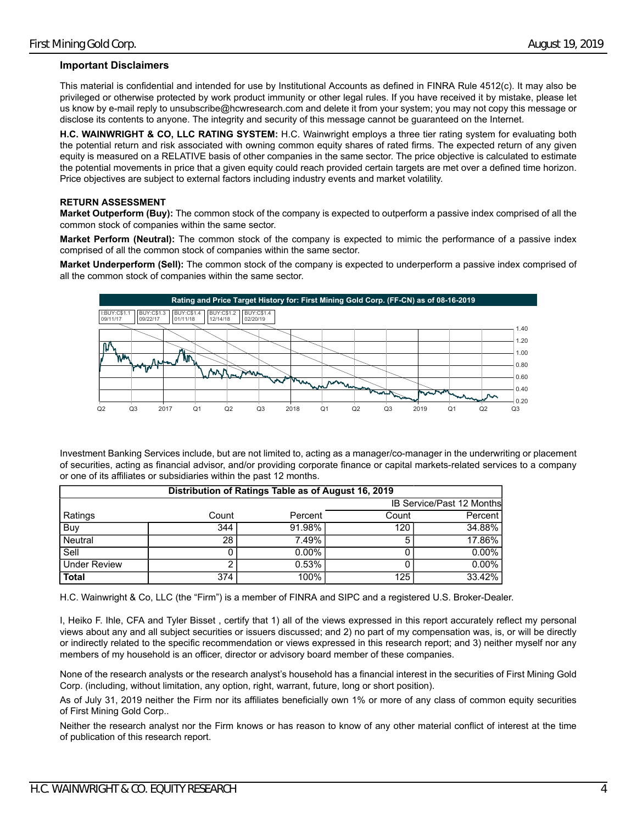## **Important Disclaimers**

This material is confidential and intended for use by Institutional Accounts as defined in FINRA Rule 4512(c). It may also be privileged or otherwise protected by work product immunity or other legal rules. If you have received it by mistake, please let us know by e-mail reply to unsubscribe@hcwresearch.com and delete it from your system; you may not copy this message or disclose its contents to anyone. The integrity and security of this message cannot be guaranteed on the Internet.

**H.C. WAINWRIGHT & CO, LLC RATING SYSTEM:** H.C. Wainwright employs a three tier rating system for evaluating both the potential return and risk associated with owning common equity shares of rated firms. The expected return of any given equity is measured on a RELATIVE basis of other companies in the same sector. The price objective is calculated to estimate the potential movements in price that a given equity could reach provided certain targets are met over a defined time horizon. Price objectives are subject to external factors including industry events and market volatility.

## **RETURN ASSESSMENT**

**Market Outperform (Buy):** The common stock of the company is expected to outperform a passive index comprised of all the common stock of companies within the same sector.

**Market Perform (Neutral):** The common stock of the company is expected to mimic the performance of a passive index comprised of all the common stock of companies within the same sector.

**Market Underperform (Sell):** The common stock of the company is expected to underperform a passive index comprised of all the common stock of companies within the same sector.



Investment Banking Services include, but are not limited to, acting as a manager/co-manager in the underwriting or placement of securities, acting as financial advisor, and/or providing corporate finance or capital markets-related services to a company or one of its affiliates or subsidiaries within the past 12 months.

| Distribution of Ratings Table as of August 16, 2019 |       |          |       |                                  |  |  |  |  |
|-----------------------------------------------------|-------|----------|-------|----------------------------------|--|--|--|--|
|                                                     |       |          |       | <b>IB Service/Past 12 Months</b> |  |  |  |  |
| Ratings                                             | Count | Percent  | Count | Percent                          |  |  |  |  |
| Buy                                                 | 344   | 91.98%   | 120   | 34.88%                           |  |  |  |  |
| Neutral                                             | 28    | 7.49%    | 5     | 17.86%                           |  |  |  |  |
| Sell                                                |       | $0.00\%$ |       | $0.00\%$                         |  |  |  |  |
| <b>Under Review</b>                                 |       | 0.53%    |       | 0.00%                            |  |  |  |  |
| <b>Total</b>                                        | 374   | 100%     | 125   | 33.42%                           |  |  |  |  |

H.C. Wainwright & Co, LLC (the "Firm") is a member of FINRA and SIPC and a registered U.S. Broker-Dealer.

I, Heiko F. Ihle, CFA and Tyler Bisset , certify that 1) all of the views expressed in this report accurately reflect my personal views about any and all subject securities or issuers discussed; and 2) no part of my compensation was, is, or will be directly or indirectly related to the specific recommendation or views expressed in this research report; and 3) neither myself nor any members of my household is an officer, director or advisory board member of these companies.

None of the research analysts or the research analyst's household has a financial interest in the securities of First Mining Gold Corp. (including, without limitation, any option, right, warrant, future, long or short position).

As of July 31, 2019 neither the Firm nor its affiliates beneficially own 1% or more of any class of common equity securities of First Mining Gold Corp..

Neither the research analyst nor the Firm knows or has reason to know of any other material conflict of interest at the time of publication of this research report.